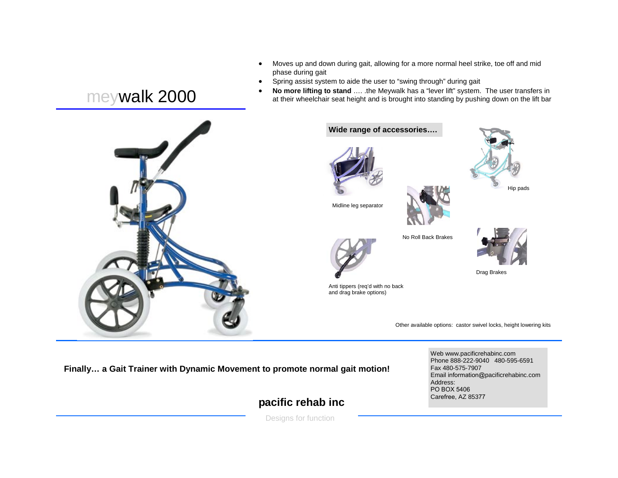- Moves up and down during gait, allowing for a more normal heel strike, toe off and mid phase during gait
- Spring assist system to aide the user to "swing through" during gait
- **No more lifting to stand** …. .the Meywalk has a "lever lift" system. The user transfers in at their wheelchair seat height and is brought into standing by pushing down on the lift bar

## meywalk 2000



**Finally… a Gait Trainer with Dynamic Movement to promote normal gait motion!** 

## **pacific rehab inc**

Designs for function

Web www.pacificrehabinc.com Phone 888-222-9040 480-595-6591 Fax 480-575-7907 Email information@pacificrehabinc.com Address: PO BOX 5406Carefree, AZ 85377